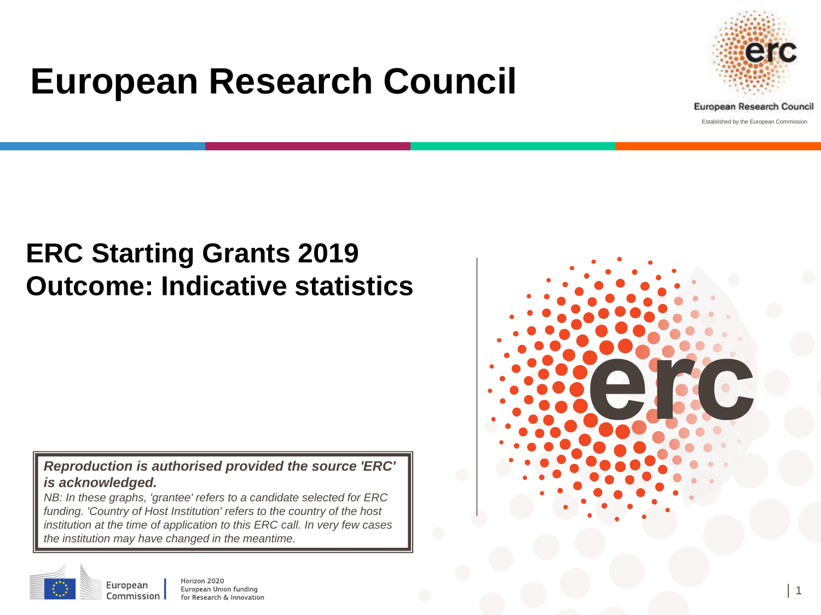# **European Research Council**



Established by the European Commission

## **ERC Starting Grants 2019 Outcome: Indicative statistics**

#### *Reproduction is authorised provided the source 'ERC' is acknowledged.*

*NB: In these graphs, 'grantee' refers to a candidate selected for ERC funding. 'Country of Host Institution' refers to the country of the host institution at the time of application to this ERC call. In very few cases the institution may have changed in the meantime.* 



European

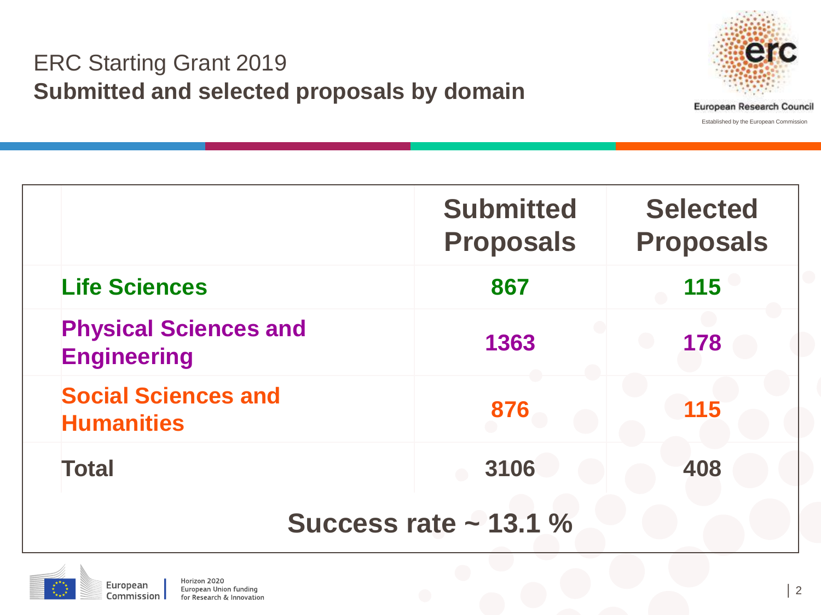#### ERC Starting Grant 2019 **Submitted and selected proposals by domain**



|                                                    | <b>Submitted</b><br><b>Proposals</b> | <b>Selected</b><br><b>Proposals</b> |  |  |  |  |  |
|----------------------------------------------------|--------------------------------------|-------------------------------------|--|--|--|--|--|
| <b>Life Sciences</b>                               | 867                                  | 115                                 |  |  |  |  |  |
| <b>Physical Sciences and</b><br><b>Engineering</b> | 1363                                 | 178                                 |  |  |  |  |  |
| <b>Social Sciences and</b><br><b>Humanities</b>    | 876                                  | 115                                 |  |  |  |  |  |
| <b>Total</b>                                       | 3106                                 | 408                                 |  |  |  |  |  |
| Success rate $\sim$ 13.1 %                         |                                      |                                     |  |  |  |  |  |

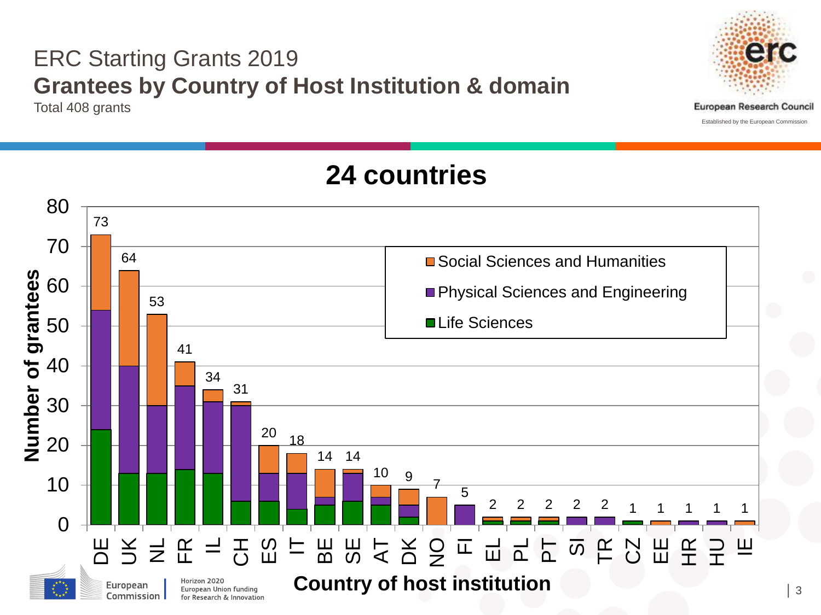### ERC Starting Grants 2019 **Grantees by Country of Host Institution & domain**

Total 408 grants



│ 3

### **24 countries**

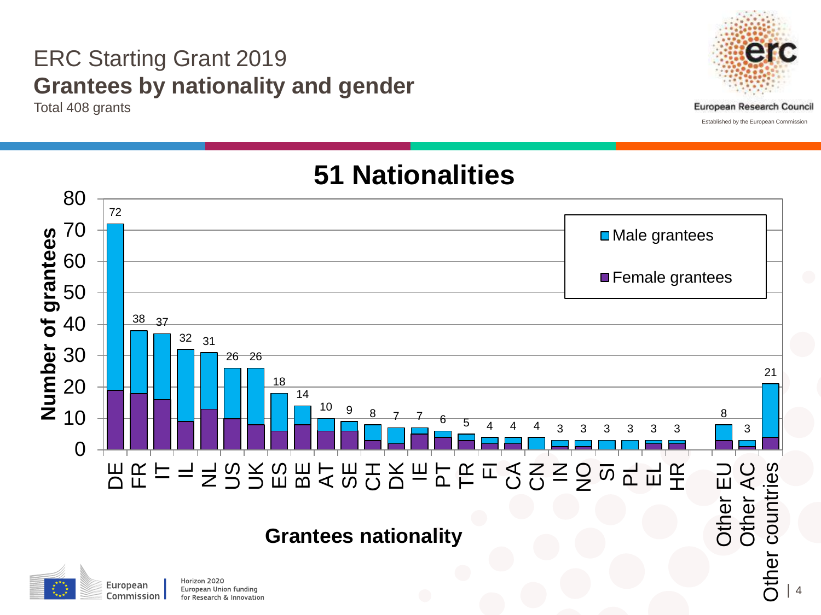#### ERC Starting Grant 2019 **Grantees by nationality and gender**

Total 408 grants





### **51 Nationalities**

#### **Grantees nationality**



Horizon 2020 European Union funding for Research & Innovation │ 4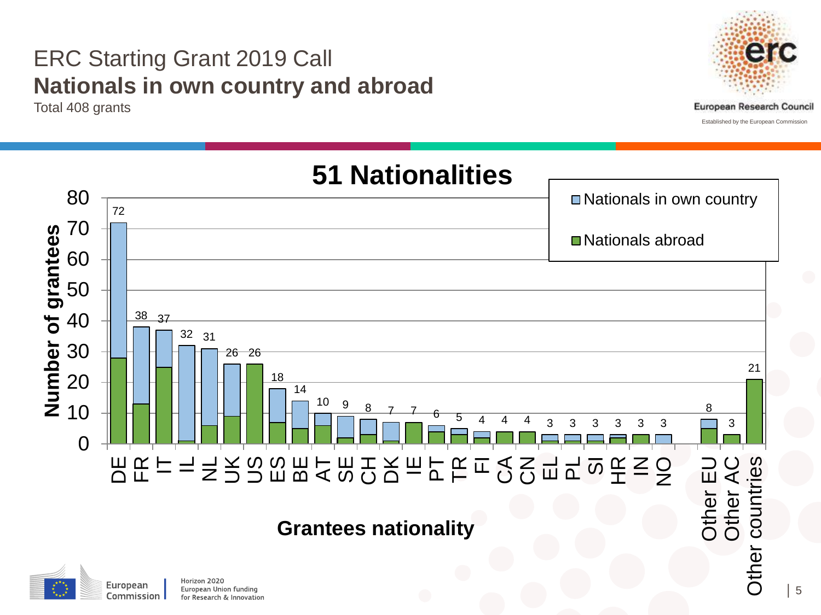#### ERC Starting Grant 2019 Call **Nationals in own country and abroad**

Total 408 grants

Commission

for Research & Innovation



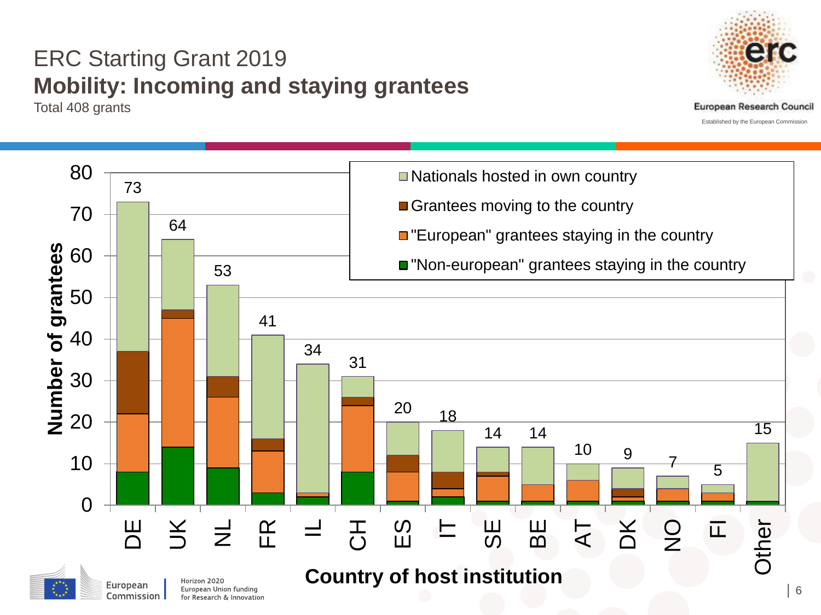### ERC Starting Grant 2019 **Mobility: Incoming and staying grantees**

Total 408 grants



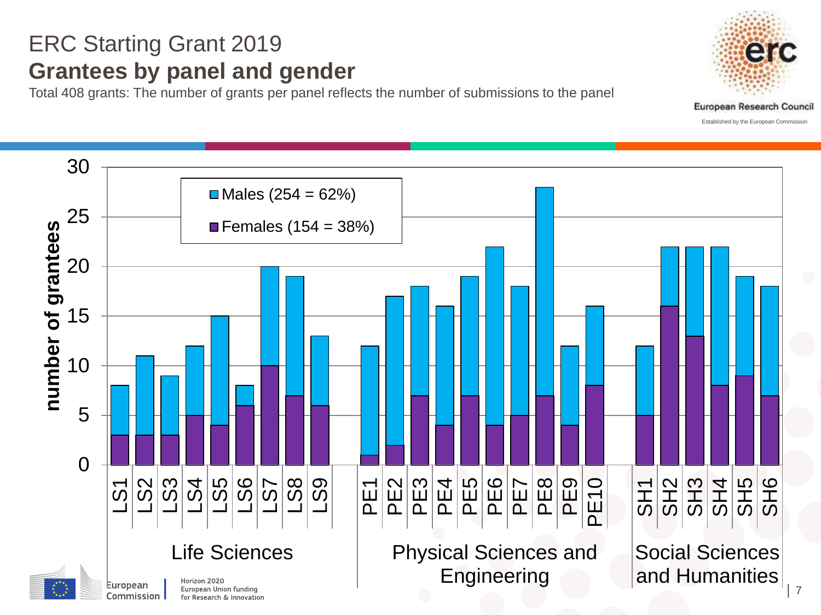#### ERC Starting Grant 2019 **Grantees by panel and gender**

Total 408 grants: The number of grants per panel reflects the number of submissions to the panel





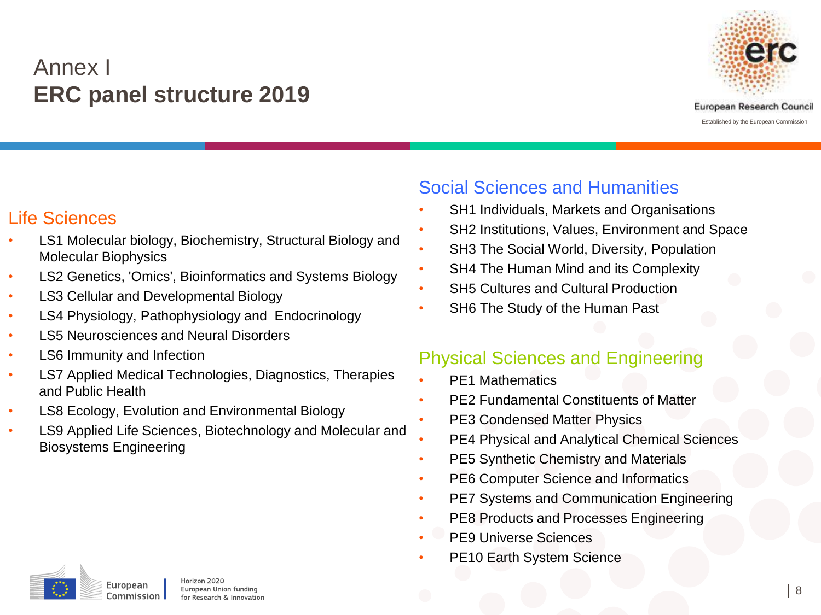#### Annex I **ERC panel structure 2019**



#### Life Sciences

- LS1 Molecular biology, Biochemistry, Structural Biology and Molecular Biophysics
- LS2 Genetics, 'Omics', Bioinformatics and Systems Biology
- LS3 Cellular and Developmental Biology
- LS4 Physiology, Pathophysiology and Endocrinology
- LS5 Neurosciences and Neural Disorders
- LS6 Immunity and Infection
- LS7 Applied Medical Technologies, Diagnostics, Therapies and Public Health
- LS8 Ecology, Evolution and Environmental Biology
- LS9 Applied Life Sciences, Biotechnology and Molecular and Biosystems Engineering

#### Social Sciences and Humanities

- SH1 Individuals, Markets and Organisations
- SH2 Institutions, Values, Environment and Space
- SH3 The Social World, Diversity, Population
- SH4 The Human Mind and its Complexity
- SH5 Cultures and Cultural Production
- SH6 The Study of the Human Past

#### Physical Sciences and Engineering

- PE1 Mathematics
- PE2 Fundamental Constituents of Matter
- PE3 Condensed Matter Physics
- PE4 Physical and Analytical Chemical Sciences
- PE5 Synthetic Chemistry and Materials
- PE6 Computer Science and Informatics
- PE7 Systems and Communication Engineering
- PE8 Products and Processes Engineering
- PE9 Universe Sciences
- PE10 Earth System Science